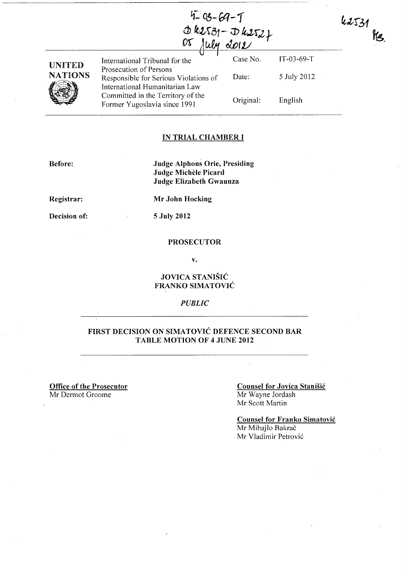|                     | $4 - 03 - 69 - 1$ |                             |
|---------------------|-------------------|-----------------------------|
|                     |                   | $d\kappa2531 - D\kappa2522$ |
| <u>OS July 2012</u> |                   |                             |
|                     |                   |                             |

5 July 2012

42531

 $\mathcal{H}_{\mathcal{S}_{\cdot}}$ 

English

| UNITED  |
|---------|
| NATIONS |
|         |

International Tribunal for the Case No. IT-03-69-T Prosecution of Persons Responsible for Serious Violations of International Humanitarian Law Committed in the Territory of the Former Yugoslavia since 1991 Date: Original:

#### IN TRIAL CHAMBER I

Before:

Judge Alphons Orie, Presiding Judge Michèle Picard Judge Elizabeth Gwaunza

Registrar:

Mr John Hocking

Decision of:

5 July 2012

#### PROSECUTOR

v.

#### JOVICA STANIŠIĆ FRANKO SIMATOVIC

#### *PUBLIC*

### FIRST DECISION ON SIMATOVIC DEFENCE SECOND BAR TABLE MOTION OF 4 JUNE 2012

Office of the Prosecutor Mr Dermot Groome

#### Counsel for Jovica Stanisic Mr Wayne Jordash Mr Scott Martin

Counsel for Franko Simatovic Mr Mihajlo Bakrač Mr Vladimir Petrović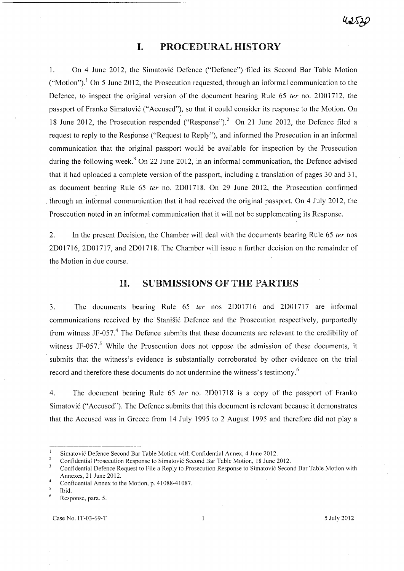# **I.** PROCEDURAL HiSTORY

--------------------------~ -~-----~-

1. On 4 June 2012, the Simatovi6 Defence ("Defence") filed its Second Bar Table Motion ("Motion").<sup>1</sup> On 5 June 2012, the Prosecution requested, through an informal communication to the Defence, to inspect the original version of the document bearing Rule 65 ter no. 2D01712, the passport of Franko Simatović ("Accused"), so that it could consider its response to the Motion. On 18 June 2012, the Prosecution responded ("Response").<sup>2</sup> On 21 June 2012, the Defence filed a request to reply to the Response ("Request to Reply"), and informed the Prosecution in an informal communication that the original passport would be available for inspection by the Prosecution during the following week.<sup>3</sup> On 22 June 2012, in an informal communication, the Defence advised that it had uploaded a complete version of the passport, including a translation of pages 30 and 31, as document bearing Rule 65 ter no. 2D01718. On 29 June 2012, the Prosecution confirmed through an informal communication that it had received the original passport. On 4 July 2012, the Prosecution noted in an informal communication that it will not be supplementing its Response.

2. In the present Decision, the Chamber will deal with the documents bearing Rule 65 ter nos 2001716,2001717, and 2001718. The Chamber will issue a further decision on the remainder of the Motion in due course.

### **H.** SUBMISSIONS OF THE PARTiES

3. The documents bearing Rule 65 fer nos 2D01716 and 2001717 are informal communications received by the Stanišić Defence and the Prosecution respectively, purportedly from witness JF-057.<sup>4</sup> The Defence submits that these documents are relevant to the credibility of witness JF-057.<sup>5</sup> While the Prosecution does not oppose the admission of these documents, it submits that the witness's evidence is substantially corroborated by other evidence on the trial record and therefore these documents do not undermine the witness's testimony.<sup>6</sup>

4. The document bearing Rule 65 *ter* no. 2D01718 is a copy of the passport of Franko Simatovi6 ("Accused"). The Defence submits that this document is relevant because it demonstrates that the Accused was in Greece from 14 July 1995 to 2 August 1995 and therefore did not play a

Simatovi6 Defence Second Bar Table Motion with Confidential Annex, 4 June 2012.

Confidential Prosecution Response to Simatovi6 Second Bar Table Motion, 18 June 2012.

 $\overline{\mathbf{3}}$ Confidential Defence Request to File a Reply to Prosecution Response to Simatovi6 Second Bar Table Motion with Annexes, 21 June 2012.

 $\overline{4}$ Confidential Annex to the Motion, p. 41088-41087.

 $\overline{\mathbf{5}}$ Ibid.  $\ddot{\rm 6}$ 

Response, para. 5.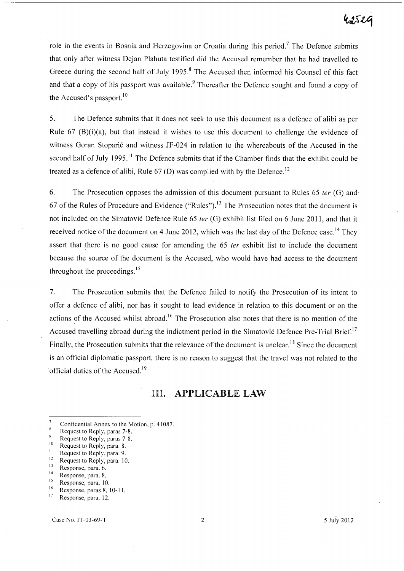# hateg

role in the events in Bosnia and Herzegovina or Croatia during this period.<sup>7</sup> The Defence submits that only after witness Dejan Plahuta testified did the Accused remember that he had travelled to Greece during the second half of July 1995.<sup>8</sup> The Accused then informed his Counsel of this fact and that a copy of his passport was available.<sup>9</sup> Thereafter the Defence sought and found a copy of the Accused's passport.<sup>10</sup>

5. The Defence submits that it does not seek to use this document as a defence of alibi as per Rule 67 (B)(i)(a), but that instead it wishes to use this document to challenge the evidence of witness Goran Stoparić and witness JF-024 in relation to the whereabouts of the Accused in the second half of July 1995.<sup>11</sup> The Defence submits that if the Chamber finds that the exhibit could be treated as a defence of alibi, Rule  $67$  (D) was complied with by the Defence.<sup>12</sup>

6. The Prosecution opposes the admission of this document pursuant to Rules 65 *ter* (G) and 67 of the Rules of Procedure and Evidence ("Rules").<sup>13</sup> The Prosecution notes that the document is not included on the Simatovi6 Defence Rule 65 *ter* (G) exhibit list filed on 6 June 2011, and that it received notice of the document on 4 June 2012, which was the last day of the Defence case.<sup>14</sup> They assert that there is no good cause for amending the 65 *ter* exhibit list to include the document because the source of the document is the Accused, who would have had access to the document throughout the proceedings. $15$ 

7. The Prosecution submits that the Defence failed to notify the Prosecution of its intent to offer a defence of alibi, nor has it sought to lead evidence in relation to this document or on the actions of the Accused whilst abroad.<sup>16</sup> The Prosecution also notes that there is no mention of the Accused travelling abroad during the indictment period in the Simatović Defence Pre-Trial Brief.<sup>17</sup> Finally, the Prosecution submits that the relevance of the document is unclear.<sup>18</sup> Since the document is an official diplomatic passport, there is no reason to suggest that the travel was not related to the official duties of the Accused. <sup>19</sup>

### In. APPLICABLE LAW

 $\overline{7}$ Confidential Annex to the Motion, p. 41087.  $\overline{\mathbf{8}}$ 

Request to Reply, paras 7-8.  $\overline{9}$ 

Request to Reply, paras 7-8.

 $^{10}$  Request to Reply, para. 8.

 $11$  Request to Reply, para. 9.

 $^{12}$  Request to Reply, para. 10.

 $13$  Response, para. 6.

 $14$  Response, para. 8.

 $\frac{15}{16}$  Response, para. 10.

 $^{16}$  Response, paras 8, 10-11. Response, para. 12.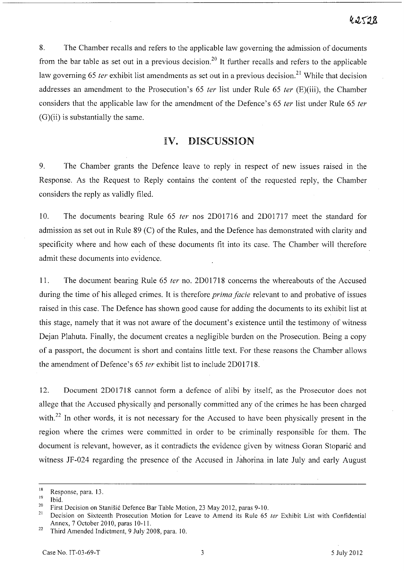8. The Chamber recalls and refers to the applicable law governing the admission of documents from the bar table as set out in a previous decision.<sup>20</sup> It further recalls and refers to the applicable law governing 65 ter exhibit list amendments as set out in a previous decision.<sup>21</sup> While that decision addresses an amendment to the Prosecution's 65  $ter$  list under Rule 65  $ter$  (E)(iii), the Chamber considers that the applicable law for the amendment of the Defence's 65 ter list under Rule 65 ter  $(G)(ii)$  is substantially the same.

# IV. DISCUSSION

9. The Chamber grants the Defence leave to reply in respect of new issues raised in the Response. As the Request to Reply contains the content of the requested reply, the Chamber considers the reply as validly filed.

10. The documents bearing Rule 65 *ter* nos 2D01716 and 2D01717 meet the standard for admission as set out in Rule 89 (C) of the Rules, and the Defence has demonstrated with clarity and specificity where and how each of these documents fit into its case. The Chamber will therefore admit these documents into evidence.

11. The document bearing Rule 65 ter no. 2D01718 concerns the whereabouts of the Accused during the time of his alleged crimes. It is therefore *prima facie* relevant to and probative of issues raised in this case. The Defence has shown good cause for adding the documents to its exhibit list at this stage, namely that it was not aware of the document's existence until the testimony of witness Dejan Plahuta. Finally, the document creates a negligible burden on the Prosecution. Being a copy of a passport, the document is short and contains little text. For these reasons the Chamber allows the amendment of Defence's 65 fer exhibit list to include 2D01718.

12. Document 2D01718 cannot form a defence of alibi by itself, as the Prosecutor does not allege that the Accused physically and personally committed any of the crimes he has been charged with.<sup>22</sup> In other words, it is not necessary for the Accused to have been physically present in the region where the crimes were committed in order to be criminally responsible for them. The document is relevant, however, as it contradicts the evidence given by witness Goran Stoparic and witness JF-024 regarding the presence of the Accused in Jahorina in late July and early August

 $\frac{18}{19}$  Response, para. 13.

 $\frac{19}{20}$  Ibid.

<sup>&</sup>lt;sup>20</sup> First Decision on Stanisić Defence Bar Table Motion, 23 May 2012, paras 9-10.

Decision on Sixteenth Prosecution Motion for Leave to Amend its Rule 65 ter Exhibit List with Confidential Annex, 7 October 2010, paras 10-11.

<sup>&</sup>lt;sup>22</sup> Third Amended Indictment, 9 July 2008, para. 10.